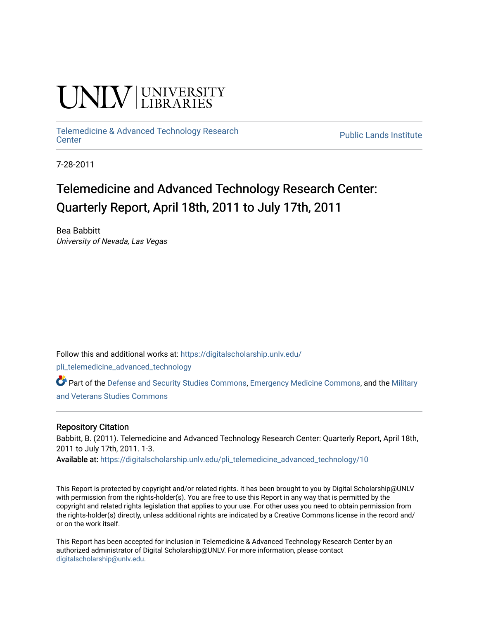# **INIVERSITY**

[Telemedicine & Advanced Technology Research](https://digitalscholarship.unlv.edu/pli_telemedicine_advanced_technology)

**Public Lands Institute** 

7-28-2011

## Telemedicine and Advanced Technology Research Center: Quarterly Report, April 18th, 2011 to July 17th, 2011

Bea Babbitt University of Nevada, Las Vegas

Follow this and additional works at: [https://digitalscholarship.unlv.edu/](https://digitalscholarship.unlv.edu/pli_telemedicine_advanced_technology?utm_source=digitalscholarship.unlv.edu%2Fpli_telemedicine_advanced_technology%2F10&utm_medium=PDF&utm_campaign=PDFCoverPages)

[pli\\_telemedicine\\_advanced\\_technology](https://digitalscholarship.unlv.edu/pli_telemedicine_advanced_technology?utm_source=digitalscholarship.unlv.edu%2Fpli_telemedicine_advanced_technology%2F10&utm_medium=PDF&utm_campaign=PDFCoverPages) 

Part of the [Defense and Security Studies Commons](http://network.bepress.com/hgg/discipline/394?utm_source=digitalscholarship.unlv.edu%2Fpli_telemedicine_advanced_technology%2F10&utm_medium=PDF&utm_campaign=PDFCoverPages), [Emergency Medicine Commons,](http://network.bepress.com/hgg/discipline/685?utm_source=digitalscholarship.unlv.edu%2Fpli_telemedicine_advanced_technology%2F10&utm_medium=PDF&utm_campaign=PDFCoverPages) and the [Military](http://network.bepress.com/hgg/discipline/396?utm_source=digitalscholarship.unlv.edu%2Fpli_telemedicine_advanced_technology%2F10&utm_medium=PDF&utm_campaign=PDFCoverPages)  [and Veterans Studies Commons](http://network.bepress.com/hgg/discipline/396?utm_source=digitalscholarship.unlv.edu%2Fpli_telemedicine_advanced_technology%2F10&utm_medium=PDF&utm_campaign=PDFCoverPages) 

#### Repository Citation

Babbitt, B. (2011). Telemedicine and Advanced Technology Research Center: Quarterly Report, April 18th, 2011 to July 17th, 2011. 1-3.

Available at: [https://digitalscholarship.unlv.edu/pli\\_telemedicine\\_advanced\\_technology/10](https://digitalscholarship.unlv.edu/pli_telemedicine_advanced_technology/10)

This Report is protected by copyright and/or related rights. It has been brought to you by Digital Scholarship@UNLV with permission from the rights-holder(s). You are free to use this Report in any way that is permitted by the copyright and related rights legislation that applies to your use. For other uses you need to obtain permission from the rights-holder(s) directly, unless additional rights are indicated by a Creative Commons license in the record and/ or on the work itself.

This Report has been accepted for inclusion in Telemedicine & Advanced Technology Research Center by an authorized administrator of Digital Scholarship@UNLV. For more information, please contact [digitalscholarship@unlv.edu](mailto:digitalscholarship@unlv.edu).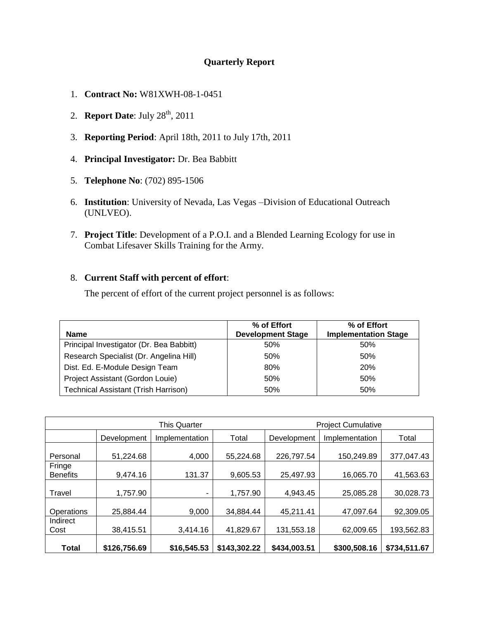### **Quarterly Report**

- 1. **Contract No:** W81XWH-08-1-0451
- 2. **Report Date**: July 28<sup>th</sup>, 2011
- 3. **Reporting Period**: April 18th, 2011 to July 17th, 2011
- 4. **Principal Investigator:** Dr. Bea Babbitt
- 5. **Telephone No**: (702) 895-1506
- 6. **Institution**: University of Nevada, Las Vegas –Division of Educational Outreach (UNLVEO).
- 7. **Project Title**: Development of a P.O.I. and a Blended Learning Ecology for use in Combat Lifesaver Skills Training for the Army.

#### 8. **Current Staff with percent of effort**:

The percent of effort of the current project personnel is as follows:

| Name                                        | % of Effort<br><b>Development Stage</b> | % of Effort<br><b>Implementation Stage</b> |
|---------------------------------------------|-----------------------------------------|--------------------------------------------|
| Principal Investigator (Dr. Bea Babbitt)    | 50%                                     | 50%                                        |
| Research Specialist (Dr. Angelina Hill)     | 50%                                     | 50%                                        |
| Dist. Ed. E-Module Design Team              | 80%                                     | <b>20%</b>                                 |
| Project Assistant (Gordon Louie)            | 50%                                     | 50%                                        |
| <b>Technical Assistant (Trish Harrison)</b> | 50%                                     | 50%                                        |

| <b>This Quarter</b>       |              |                | <b>Project Cumulative</b> |              |                |              |
|---------------------------|--------------|----------------|---------------------------|--------------|----------------|--------------|
|                           | Development  | Implementation | Total                     | Development  | Implementation | Total        |
| Personal                  | 51,224.68    | 4,000          | 55,224.68                 | 226,797.54   | 150,249.89     | 377,047.43   |
| Fringe<br><b>Benefits</b> | 9,474.16     | 131.37         | 9,605.53                  | 25,497.93    | 16,065.70      | 41,563.63    |
| Travel                    | 1,757.90     | ۰.             | 1,757.90                  | 4,943.45     | 25,085.28      | 30,028.73    |
| Operations                | 25,884.44    | 9,000          | 34,884.44                 | 45,211.41    | 47,097.64      | 92,309.05    |
| Indirect<br>Cost          | 38,415.51    | 3,414.16       | 41,829.67                 | 131,553.18   | 62,009.65      | 193,562.83   |
| <b>Total</b>              | \$126,756.69 | \$16,545.53    | \$143,302.22              | \$434,003.51 | \$300,508.16   | \$734,511.67 |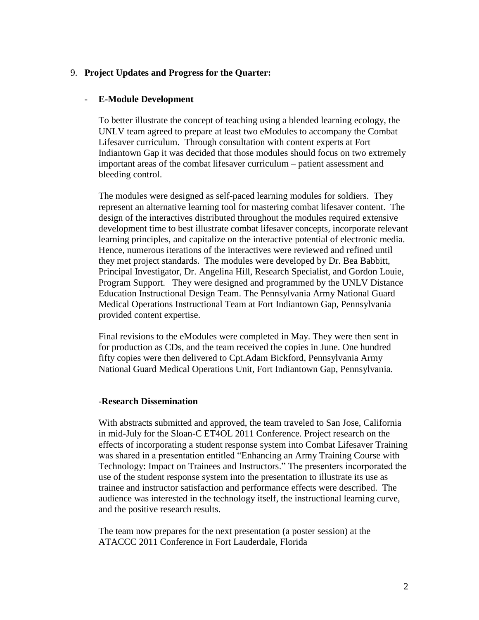#### 9. **Project Updates and Progress for the Quarter:**

#### - **E-Module Development**

To better illustrate the concept of teaching using a blended learning ecology, the UNLV team agreed to prepare at least two eModules to accompany the Combat Lifesaver curriculum. Through consultation with content experts at Fort Indiantown Gap it was decided that those modules should focus on two extremely important areas of the combat lifesaver curriculum – patient assessment and bleeding control.

The modules were designed as self-paced learning modules for soldiers. They represent an alternative learning tool for mastering combat lifesaver content. The design of the interactives distributed throughout the modules required extensive development time to best illustrate combat lifesaver concepts, incorporate relevant learning principles, and capitalize on the interactive potential of electronic media. Hence, numerous iterations of the interactives were reviewed and refined until they met project standards. The modules were developed by Dr. Bea Babbitt, Principal Investigator, Dr. Angelina Hill, Research Specialist, and Gordon Louie, Program Support. They were designed and programmed by the UNLV Distance Education Instructional Design Team. The Pennsylvania Army National Guard Medical Operations Instructional Team at Fort Indiantown Gap, Pennsylvania provided content expertise.

Final revisions to the eModules were completed in May. They were then sent in for production as CDs, and the team received the copies in June. One hundred fifty copies were then delivered to Cpt.Adam Bickford, Pennsylvania Army National Guard Medical Operations Unit, Fort Indiantown Gap, Pennsylvania.

#### -**Research Dissemination**

With abstracts submitted and approved, the team traveled to San Jose, California in mid-July for the Sloan-C ET4OL 2011 Conference. Project research on the effects of incorporating a student response system into Combat Lifesaver Training was shared in a presentation entitled "Enhancing an Army Training Course with Technology: Impact on Trainees and Instructors." The presenters incorporated the use of the student response system into the presentation to illustrate its use as trainee and instructor satisfaction and performance effects were described. The audience was interested in the technology itself, the instructional learning curve, and the positive research results.

The team now prepares for the next presentation (a poster session) at the ATACCC 2011 Conference in Fort Lauderdale, Florida